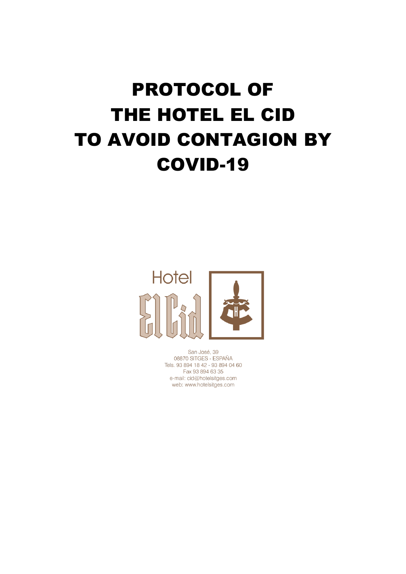## PROTOCOL OF THE HOTEL EL CID TO AVOID CONTAGION BY COVID-19



San José, 39 08870 SITGES - ESPAÑA Tels. 93 894 18 42 - 93 894 04 60 Fax 93 894 63 35 e-mail: cid@hotelsitges.com web: www.hotelsitges.com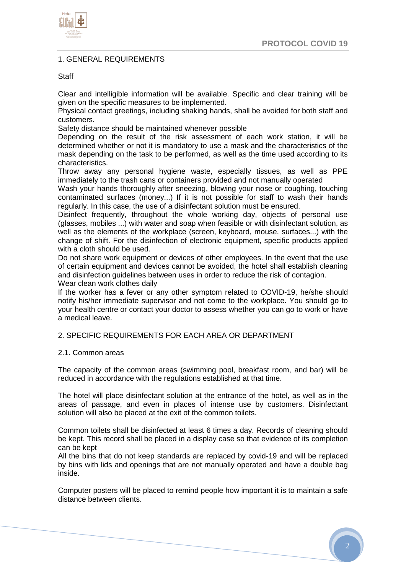

## 1. GENERAL REQUIREMENTS

#### **Staff**

Clear and intelligible information will be available. Specific and clear training will be given on the specific measures to be implemented.

Physical contact greetings, including shaking hands, shall be avoided for both staff and customers.

Safety distance should be maintained whenever possible

Depending on the result of the risk assessment of each work station, it will be determined whether or not it is mandatory to use a mask and the characteristics of the mask depending on the task to be performed, as well as the time used according to its characteristics.

Throw away any personal hygiene waste, especially tissues, as well as PPE immediately to the trash cans or containers provided and not manually operated

Wash your hands thoroughly after sneezing, blowing your nose or coughing, touching contaminated surfaces (money...) If it is not possible for staff to wash their hands regularly. In this case, the use of a disinfectant solution must be ensured.

Disinfect frequently, throughout the whole working day, objects of personal use (glasses, mobiles ...) with water and soap when feasible or with disinfectant solution, as well as the elements of the workplace (screen, keyboard, mouse, surfaces...) with the change of shift. For the disinfection of electronic equipment, specific products applied with a cloth should be used.

Do not share work equipment or devices of other employees. In the event that the use of certain equipment and devices cannot be avoided, the hotel shall establish cleaning and disinfection guidelines between uses in order to reduce the risk of contagion. Wear clean work clothes daily

If the worker has a fever or any other symptom related to COVID-19, he/she should notify his/her immediate supervisor and not come to the workplace. You should go to your health centre or contact your doctor to assess whether you can go to work or have a medical leave.

#### 2. SPECIFIC REQUIREMENTS FOR EACH AREA OR DEPARTMENT

#### 2.1. Common areas

The capacity of the common areas (swimming pool, breakfast room, and bar) will be reduced in accordance with the regulations established at that time.

The hotel will place disinfectant solution at the entrance of the hotel, as well as in the areas of passage, and even in places of intense use by customers. Disinfectant solution will also be placed at the exit of the common toilets.

Common toilets shall be disinfected at least 6 times a day. Records of cleaning should be kept. This record shall be placed in a display case so that evidence of its completion can be kept

All the bins that do not keep standards are replaced by covid-19 and will be replaced by bins with lids and openings that are not manually operated and have a double bag inside.

Computer posters will be placed to remind people how important it is to maintain a safe distance between clients.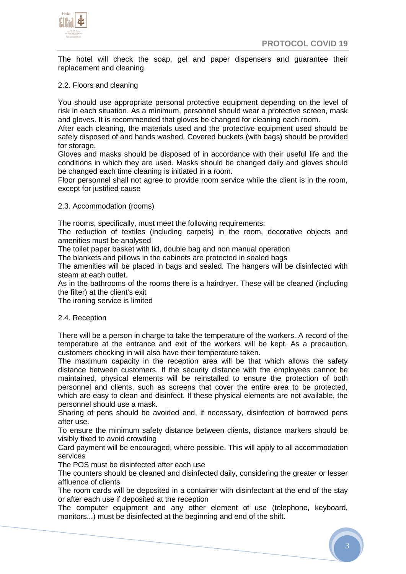



The hotel will check the soap, gel and paper dispensers and guarantee their replacement and cleaning.

## 2.2. Floors and cleaning

You should use appropriate personal protective equipment depending on the level of risk in each situation. As a minimum, personnel should wear a protective screen, mask and gloves. It is recommended that gloves be changed for cleaning each room.

After each cleaning, the materials used and the protective equipment used should be safely disposed of and hands washed. Covered buckets (with bags) should be provided for storage.

Gloves and masks should be disposed of in accordance with their useful life and the conditions in which they are used. Masks should be changed daily and gloves should be changed each time cleaning is initiated in a room.

Floor personnel shall not agree to provide room service while the client is in the room, except for justified cause

## 2.3. Accommodation (rooms)

The rooms, specifically, must meet the following requirements:

The reduction of textiles (including carpets) in the room, decorative objects and amenities must be analysed

The toilet paper basket with lid, double bag and non manual operation

The blankets and pillows in the cabinets are protected in sealed bags

The amenities will be placed in bags and sealed. The hangers will be disinfected with steam at each outlet.

As in the bathrooms of the rooms there is a hairdryer. These will be cleaned (including the filter) at the client's exit

The ironing service is limited

#### 2.4. Reception

There will be a person in charge to take the temperature of the workers. A record of the temperature at the entrance and exit of the workers will be kept. As a precaution, customers checking in will also have their temperature taken.

The maximum capacity in the reception area will be that which allows the safety distance between customers. If the security distance with the employees cannot be maintained, physical elements will be reinstalled to ensure the protection of both personnel and clients, such as screens that cover the entire area to be protected, which are easy to clean and disinfect. If these physical elements are not available, the personnel should use a mask.

Sharing of pens should be avoided and, if necessary, disinfection of borrowed pens after use.

To ensure the minimum safety distance between clients, distance markers should be visibly fixed to avoid crowding

Card payment will be encouraged, where possible. This will apply to all accommodation services

The POS must be disinfected after each use

The counters should be cleaned and disinfected daily, considering the greater or lesser affluence of clients

The room cards will be deposited in a container with disinfectant at the end of the stay or after each use if deposited at the reception

The computer equipment and any other element of use (telephone, keyboard, monitors...) must be disinfected at the beginning and end of the shift.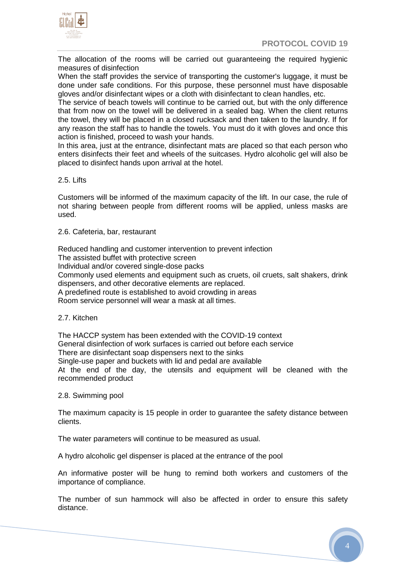

The allocation of the rooms will be carried out guaranteeing the required hygienic measures of disinfection

When the staff provides the service of transporting the customer's luggage, it must be done under safe conditions. For this purpose, these personnel must have disposable gloves and/or disinfectant wipes or a cloth with disinfectant to clean handles, etc.

The service of beach towels will continue to be carried out, but with the only difference that from now on the towel will be delivered in a sealed bag. When the client returns the towel, they will be placed in a closed rucksack and then taken to the laundry. If for any reason the staff has to handle the towels. You must do it with gloves and once this action is finished, proceed to wash your hands.

In this area, just at the entrance, disinfectant mats are placed so that each person who enters disinfects their feet and wheels of the suitcases. Hydro alcoholic gel will also be placed to disinfect hands upon arrival at the hotel.

## 2.5. Lifts

Customers will be informed of the maximum capacity of the lift. In our case, the rule of not sharing between people from different rooms will be applied, unless masks are used.

2.6. Cafeteria, bar, restaurant

Reduced handling and customer intervention to prevent infection The assisted buffet with protective screen Individual and/or covered single-dose packs Commonly used elements and equipment such as cruets, oil cruets, salt shakers, drink dispensers, and other decorative elements are replaced. A predefined route is established to avoid crowding in areas Room service personnel will wear a mask at all times.

## 2.7. Kitchen

The HACCP system has been extended with the COVID-19 context General disinfection of work surfaces is carried out before each service There are disinfectant soap dispensers next to the sinks Single-use paper and buckets with lid and pedal are available At the end of the day, the utensils and equipment will be cleaned with the recommended product

## 2.8. Swimming pool

The maximum capacity is 15 people in order to guarantee the safety distance between clients.

The water parameters will continue to be measured as usual.

A hydro alcoholic gel dispenser is placed at the entrance of the pool

An informative poster will be hung to remind both workers and customers of the importance of compliance.

The number of sun hammock will also be affected in order to ensure this safety distance.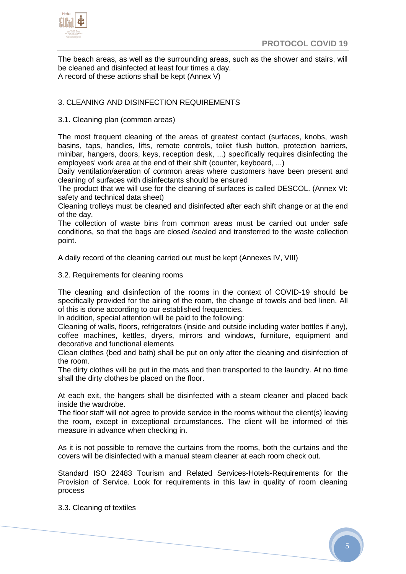

The beach areas, as well as the surrounding areas, such as the shower and stairs, will be cleaned and disinfected at least four times a day. A record of these actions shall be kept (Annex V)

## 3. CLEANING AND DISINFECTION REQUIREMENTS

## 3.1. Cleaning plan (common areas)

The most frequent cleaning of the areas of greatest contact (surfaces, knobs, wash basins, taps, handles, lifts, remote controls, toilet flush button, protection barriers, minibar, hangers, doors, keys, reception desk, ...) specifically requires disinfecting the employees' work area at the end of their shift (counter, keyboard, ...)

Daily ventilation/aeration of common areas where customers have been present and cleaning of surfaces with disinfectants should be ensured

The product that we will use for the cleaning of surfaces is called DESCOL. (Annex VI: safety and technical data sheet)

Cleaning trolleys must be cleaned and disinfected after each shift change or at the end of the day.

The collection of waste bins from common areas must be carried out under safe conditions, so that the bags are closed /sealed and transferred to the waste collection point.

A daily record of the cleaning carried out must be kept (Annexes IV, VIII)

3.2. Requirements for cleaning rooms

The cleaning and disinfection of the rooms in the context of COVID-19 should be specifically provided for the airing of the room, the change of towels and bed linen. All of this is done according to our established frequencies.

In addition, special attention will be paid to the following:

Cleaning of walls, floors, refrigerators (inside and outside including water bottles if any), coffee machines, kettles, dryers, mirrors and windows, furniture, equipment and decorative and functional elements

Clean clothes (bed and bath) shall be put on only after the cleaning and disinfection of the room.

The dirty clothes will be put in the mats and then transported to the laundry. At no time shall the dirty clothes be placed on the floor.

At each exit, the hangers shall be disinfected with a steam cleaner and placed back inside the wardrobe.

The floor staff will not agree to provide service in the rooms without the client(s) leaving the room, except in exceptional circumstances. The client will be informed of this measure in advance when checking in.

As it is not possible to remove the curtains from the rooms, both the curtains and the covers will be disinfected with a manual steam cleaner at each room check out.

Standard ISO 22483 Tourism and Related Services-Hotels-Requirements for the Provision of Service. Look for requirements in this law in quality of room cleaning process

3.3. Cleaning of textiles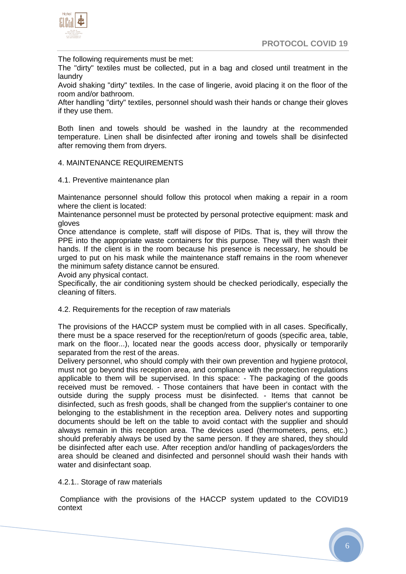

The following requirements must be met:

The "dirty" textiles must be collected, put in a bag and closed until treatment in the laundry

Avoid shaking "dirty" textiles. In the case of lingerie, avoid placing it on the floor of the room and/or bathroom.

After handling "dirty" textiles, personnel should wash their hands or change their gloves if they use them.

Both linen and towels should be washed in the laundry at the recommended temperature. Linen shall be disinfected after ironing and towels shall be disinfected after removing them from dryers.

## 4. MAINTENANCE REQUIREMENTS

4.1. Preventive maintenance plan

Maintenance personnel should follow this protocol when making a repair in a room where the client is located:

Maintenance personnel must be protected by personal protective equipment: mask and gloves

Once attendance is complete, staff will dispose of PIDs. That is, they will throw the PPE into the appropriate waste containers for this purpose. They will then wash their hands. If the client is in the room because his presence is necessary, he should be urged to put on his mask while the maintenance staff remains in the room whenever the minimum safety distance cannot be ensured.

Avoid any physical contact.

Specifically, the air conditioning system should be checked periodically, especially the cleaning of filters.

#### 4.2. Requirements for the reception of raw materials

The provisions of the HACCP system must be complied with in all cases. Specifically, there must be a space reserved for the reception/return of goods (specific area, table, mark on the floor...), located near the goods access door, physically or temporarily separated from the rest of the areas.

Delivery personnel, who should comply with their own prevention and hygiene protocol, must not go beyond this reception area, and compliance with the protection regulations applicable to them will be supervised. In this space: - The packaging of the goods received must be removed. - Those containers that have been in contact with the outside during the supply process must be disinfected. - Items that cannot be disinfected, such as fresh goods, shall be changed from the supplier's container to one belonging to the establishment in the reception area. Delivery notes and supporting documents should be left on the table to avoid contact with the supplier and should always remain in this reception area. The devices used (thermometers, pens, etc.) should preferably always be used by the same person. If they are shared, they should be disinfected after each use. After reception and/or handling of packages/orders the area should be cleaned and disinfected and personnel should wash their hands with water and disinfectant soap.

#### 4.2.1.. Storage of raw materials

Compliance with the provisions of the HACCP system updated to the COVID19 context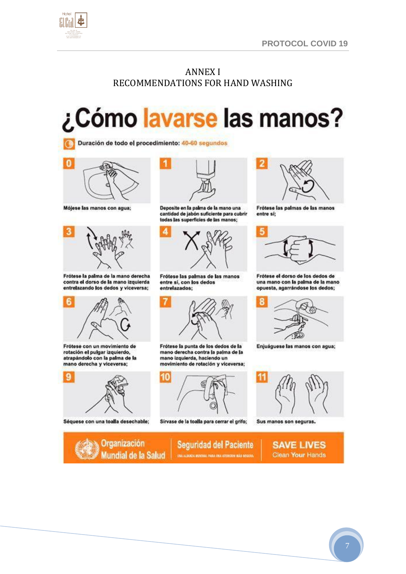

## ANNEX I RECOMMENDATIONS FOR HAND WASHING

# ¿Cómo lavarse las manos?

Duración de todo el procedimiento: 40-60 segundos



Mójese las manos con agua;



Frótese la palma de la mano derecha contra el dorso de la mano izquierda entrelazando los dedos y viceversa;



Frótese con un movimiento de rotación el pulgar izquierdo, atrapándolo con la palma de la mano derecha y viceversa;



Séquese con una toalla desechable;



Deposite en la palma de la mano una cantidad de jabón suficiente para cubrir todas las superficies de las manos;



Frótese las palmas de las manos entre si, con los dedos entrelazados;



Frótese la punta de los dedos de la mano derecha contra la palma de la mano izquierda, haciendo un movimiento de rotación y viceversa;



Sírvase de la toalla para cerrar el grifo;



Frótese las palmas de las manos entre sí;



Frótese el dorso de los dedos de una mano con la palma de la mano opuesta, agarrándose los dedos;



Enjuáguese las manos con agua;



Sus manos son seguras.

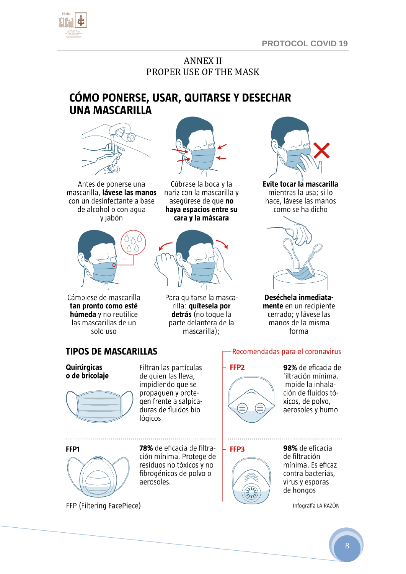

## ANNEX II PROPER USE OF THE MASK

## CÓMO PONERSE, USAR, QUITARSE Y DESECHAR **UNA MASCARILLA**



Antes de ponerse una mascarilla, lávese las manos con un desinfectante a base de alcohol o con aqua v jabón



Cámbiese de mascarilla tan pronto como esté húmeda y no reutilice las mascarillas de un solo uso



Cúbrase la boca y la nariz con la mascarilla y asegúrese de que no haya espacios entre su cara y la máscara



Para quitarse la mascarilla: quítesela por detrás (no toque la parte delantera de la mascarilla);



Evite tocar la mascarilla mientras la usa; si lo hace, lávese las manos como se ha dicho



Deséchela inmediatamente en un recipiente cerrado; y lávese las manos de la misma forma

## **TIPOS DE MASCARILLAS**

Quirúrgicas o de bricolaje



Filtran las partículas de quien las lleva, impidiendo que se propaguen y protegen frente a salpicaduras de fluidos biológicos



78% de eficacia de filtración mínima. Protege de residuos no tóxicos y no fibrogénicos de polvo o aerosoles.

Recomendadas para el coronavirus



92% de eficacia de filtración mínima. Impide la inhalación de fluidos tóxicos, de polvo, aerosoles y humo

FFP3



98% de eficacia de filtración mínima. Es eficaz contra bacterias, virus y esporas de hongos

Infografía LA RAZÓN

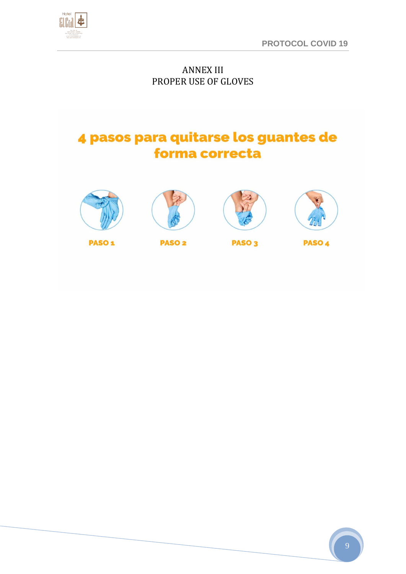

## ANNEX III PROPER USE OF GLOVES

## 4 pasos para quitarse los guantes de forma correcta









PASO<sub>1</sub>

**PASO<sub>2</sub>** 

PASO<sub>3</sub>

PASO<sub>4</sub>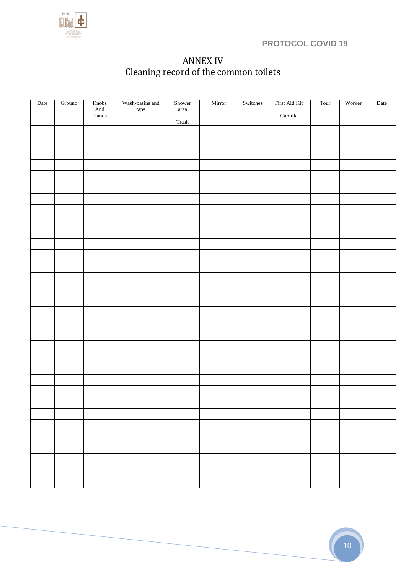

## ANNEX IV Cleaning record of the common toilets

| Date | Ground | Knobs<br>And  | Wash-basins and<br>$\mathop{\rm taps}\nolimits$ | Shower<br>area                                                                                       | Mirror | Switches | First Aid Kit            | Tour | Worker | Date |
|------|--------|---------------|-------------------------------------------------|------------------------------------------------------------------------------------------------------|--------|----------|--------------------------|------|--------|------|
|      |        | ${\tt hands}$ |                                                 | $\operatorname*{Trash}% \left( \mathcal{M}\right) =\operatorname*{Trash}% \left( \mathcal{M}\right)$ |        |          | $\operatorname{Camilla}$ |      |        |      |
|      |        |               |                                                 |                                                                                                      |        |          |                          |      |        |      |
|      |        |               |                                                 |                                                                                                      |        |          |                          |      |        |      |
|      |        |               |                                                 |                                                                                                      |        |          |                          |      |        |      |
|      |        |               |                                                 |                                                                                                      |        |          |                          |      |        |      |
|      |        |               |                                                 |                                                                                                      |        |          |                          |      |        |      |
|      |        |               |                                                 |                                                                                                      |        |          |                          |      |        |      |
|      |        |               |                                                 |                                                                                                      |        |          |                          |      |        |      |
|      |        |               |                                                 |                                                                                                      |        |          |                          |      |        |      |
|      |        |               |                                                 |                                                                                                      |        |          |                          |      |        |      |
|      |        |               |                                                 |                                                                                                      |        |          |                          |      |        |      |
|      |        |               |                                                 |                                                                                                      |        |          |                          |      |        |      |
|      |        |               |                                                 |                                                                                                      |        |          |                          |      |        |      |
|      |        |               |                                                 |                                                                                                      |        |          |                          |      |        |      |
|      |        |               |                                                 |                                                                                                      |        |          |                          |      |        |      |
|      |        |               |                                                 |                                                                                                      |        |          |                          |      |        |      |
|      |        |               |                                                 |                                                                                                      |        |          |                          |      |        |      |
|      |        |               |                                                 |                                                                                                      |        |          |                          |      |        |      |
|      |        |               |                                                 |                                                                                                      |        |          |                          |      |        |      |
|      |        |               |                                                 |                                                                                                      |        |          |                          |      |        |      |
|      |        |               |                                                 |                                                                                                      |        |          |                          |      |        |      |
|      |        |               |                                                 |                                                                                                      |        |          |                          |      |        |      |
|      |        |               |                                                 |                                                                                                      |        |          |                          |      |        |      |
|      |        |               |                                                 |                                                                                                      |        |          |                          |      |        |      |
|      |        |               |                                                 |                                                                                                      |        |          |                          |      |        |      |
|      |        |               |                                                 |                                                                                                      |        |          |                          |      |        |      |
|      |        |               |                                                 |                                                                                                      |        |          |                          |      |        |      |
|      |        |               |                                                 |                                                                                                      |        |          |                          |      |        |      |
|      |        |               |                                                 |                                                                                                      |        |          |                          |      |        |      |
|      |        |               |                                                 |                                                                                                      |        |          |                          |      |        |      |
|      |        |               |                                                 |                                                                                                      |        |          |                          |      |        |      |
|      |        |               |                                                 |                                                                                                      |        |          |                          |      |        |      |
|      |        |               |                                                 |                                                                                                      |        |          |                          |      |        |      |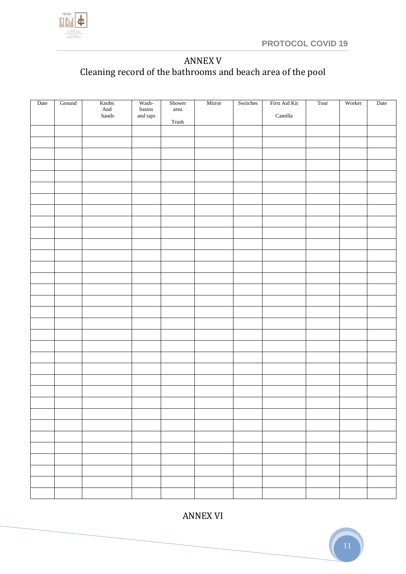

## ANNEX V Cleaning record of the bathrooms and beach area of the pool

| Date | Ground | Knobs<br>$\mbox{{\sc And}}$<br>${\tt hands}$ | Wash-<br>$_{\rm basins}$<br>and taps | Shower<br>area<br>Trash | Mirror | Switches | First Aid Kit<br>$\operatorname{Camilla}$ | Tour | Worker | Date |
|------|--------|----------------------------------------------|--------------------------------------|-------------------------|--------|----------|-------------------------------------------|------|--------|------|
|      |        |                                              |                                      |                         |        |          |                                           |      |        |      |
|      |        |                                              |                                      |                         |        |          |                                           |      |        |      |
|      |        |                                              |                                      |                         |        |          |                                           |      |        |      |
|      |        |                                              |                                      |                         |        |          |                                           |      |        |      |
|      |        |                                              |                                      |                         |        |          |                                           |      |        |      |
|      |        |                                              |                                      |                         |        |          |                                           |      |        |      |
|      |        |                                              |                                      |                         |        |          |                                           |      |        |      |
|      |        |                                              |                                      |                         |        |          |                                           |      |        |      |
|      |        |                                              |                                      |                         |        |          |                                           |      |        |      |
|      |        |                                              |                                      |                         |        |          |                                           |      |        |      |
|      |        |                                              |                                      |                         |        |          |                                           |      |        |      |
|      |        |                                              |                                      |                         |        |          |                                           |      |        |      |
|      |        |                                              |                                      |                         |        |          |                                           |      |        |      |
|      |        |                                              |                                      |                         |        |          |                                           |      |        |      |
|      |        |                                              |                                      |                         |        |          |                                           |      |        |      |
|      |        |                                              |                                      |                         |        |          |                                           |      |        |      |
|      |        |                                              |                                      |                         |        |          |                                           |      |        |      |
|      |        |                                              |                                      |                         |        |          |                                           |      |        |      |
|      |        |                                              |                                      |                         |        |          |                                           |      |        |      |
|      |        |                                              |                                      |                         |        |          |                                           |      |        |      |
|      |        |                                              |                                      |                         |        |          |                                           |      |        |      |
|      |        |                                              |                                      |                         |        |          |                                           |      |        |      |
|      |        |                                              |                                      |                         |        |          |                                           |      |        |      |
|      |        |                                              |                                      |                         |        |          |                                           |      |        |      |
|      |        |                                              |                                      |                         |        |          |                                           |      |        |      |
|      |        |                                              |                                      |                         |        |          |                                           |      |        |      |
|      |        |                                              |                                      |                         |        |          |                                           |      |        |      |
|      |        |                                              |                                      |                         |        |          |                                           |      |        |      |
|      |        |                                              |                                      |                         |        |          |                                           |      |        |      |
|      |        |                                              |                                      |                         |        |          |                                           |      |        |      |
|      |        |                                              |                                      |                         |        |          |                                           |      |        |      |
|      |        |                                              |                                      |                         |        |          |                                           |      |        |      |
|      |        |                                              |                                      |                         |        |          |                                           |      |        |      |

ANNEX VI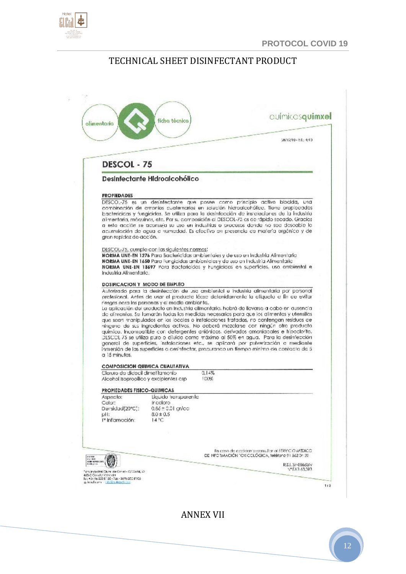

q.

## TECHNICAL SHEET DISINFECTANT PRODUCT

|                                                                                                                                                           |                                                                              | oulmicosquimxel                                                                                                                                                                                                                                                                                                                                                                                                                                                                                                                                                                                                                                                                                                                                |
|-----------------------------------------------------------------------------------------------------------------------------------------------------------|------------------------------------------------------------------------------|------------------------------------------------------------------------------------------------------------------------------------------------------------------------------------------------------------------------------------------------------------------------------------------------------------------------------------------------------------------------------------------------------------------------------------------------------------------------------------------------------------------------------------------------------------------------------------------------------------------------------------------------------------------------------------------------------------------------------------------------|
|                                                                                                                                                           |                                                                              | 28/12/10 - 51: 4/10                                                                                                                                                                                                                                                                                                                                                                                                                                                                                                                                                                                                                                                                                                                            |
| DESCOL - 75                                                                                                                                               |                                                                              |                                                                                                                                                                                                                                                                                                                                                                                                                                                                                                                                                                                                                                                                                                                                                |
| Desinfectante Hidroalcohólico                                                                                                                             |                                                                              |                                                                                                                                                                                                                                                                                                                                                                                                                                                                                                                                                                                                                                                                                                                                                |
|                                                                                                                                                           |                                                                              |                                                                                                                                                                                                                                                                                                                                                                                                                                                                                                                                                                                                                                                                                                                                                |
| <b><i>PROPIEDADES</i></b>                                                                                                                                 |                                                                              | DESCOL-75 es un desinfectante que posee como principio activo biocida, una                                                                                                                                                                                                                                                                                                                                                                                                                                                                                                                                                                                                                                                                     |
| gran rapidoz do acción.                                                                                                                                   |                                                                              | combinación de amonios cuaternarios en solución hidroalcohólica. Tiene propiedadas<br>bactericidas y fungicidas. Se utiliza para la desinfacción de instalaciones de la industria.<br>atmentaria, máculhos, etc. Por su composición al DESCOL-75 os de rápido secado. Gracios<br>a esta acción se aconseia su uso en industrias o procesos donde no sea doscable to.<br>acumulación de agua a numedad. Es efectivo en presencia de materia orgánica y del                                                                                                                                                                                                                                                                                      |
| DESCOL-75, cumple con las siguientes normas:<br>Industria Alimentario.                                                                                    |                                                                              | NORMA UNE-EN 1276 Para Bactericidas ambientales y de uso en Industria Alimentaria.<br><b>NORMA UNE-EN 1650</b> Para Fungicidas ambientales y de uso en Industria Alimentaria.<br>NORMA UNE-EN 18697 Para Bactericidas y Fungicidas en superficies, uso ambiental e                                                                                                                                                                                                                                                                                                                                                                                                                                                                             |
| DOSIFICACION Y MODO DE EMPLEO                                                                                                                             |                                                                              |                                                                                                                                                                                                                                                                                                                                                                                                                                                                                                                                                                                                                                                                                                                                                |
|                                                                                                                                                           |                                                                              | Autorizado para la desinfección de uso ambiental e industria alimentaria por porsonal<br>profesional. Antes de usar el producto lóase detonidamento la cliqueta e fin de evitar                                                                                                                                                                                                                                                                                                                                                                                                                                                                                                                                                                |
|                                                                                                                                                           |                                                                              | La aplicación del oroducto en Industria alimentaria, habrá de llevarse a cabo en ausencia.<br>de alimentos. Se tomarán todas las medidas necesarias pora que los alimentos y utensilios<br>que sean manipulados en los loccles o instalaciones tratadas, no contengan residuos de<br>ninguno de sus ingradiantes activos. No deberá mezalaise con ningún otro producta.<br>químico, incompatible con detergentes aniónicos, derivados amoniacales e hipoclorito,<br>DESCOL 75 se utiliza puro o diluido como máximo al 50% en agua. Para la desinfección:<br>general de superfícies, instalaciones etc., se aplicará por pulverización a mediante.<br>Inmersión de las superficies a desinfectar, procurando un tiempo minimo de contacto da 5 |
| riesgos para los personas y el medio ambiente.<br>a 15 minutes.<br><b>COMPOSICION QUIMICA CUALITATIVA</b>                                                 |                                                                              |                                                                                                                                                                                                                                                                                                                                                                                                                                                                                                                                                                                                                                                                                                                                                |
|                                                                                                                                                           |                                                                              | 0.14%<br>100%                                                                                                                                                                                                                                                                                                                                                                                                                                                                                                                                                                                                                                                                                                                                  |
|                                                                                                                                                           |                                                                              |                                                                                                                                                                                                                                                                                                                                                                                                                                                                                                                                                                                                                                                                                                                                                |
| Cloruro de didecil dimetilamonio<br>Alcohol Isopropilico y excipientes csp<br>PROPIEDADES FISICO-QUIMICAS<br>Aspecto:<br>Color:<br>Densidad(20°C':<br>pH: | Liquido tronsparente.<br>ir coloro<br>$0.86 \pm 0.01$ gr/cc<br>$8.0 \pm 0.5$ |                                                                                                                                                                                                                                                                                                                                                                                                                                                                                                                                                                                                                                                                                                                                                |
| I <sup>v</sup> Inflamación:                                                                                                                               | $14^{\circ}$ C                                                               | CONCR NICO VSB2 in training monetage of each career<br>DE NFORMACIÓN TOXICOLÓGICA, feléfono 91 562 04 20.                                                                                                                                                                                                                                                                                                                                                                                                                                                                                                                                                                                                                                      |

ANNEX VII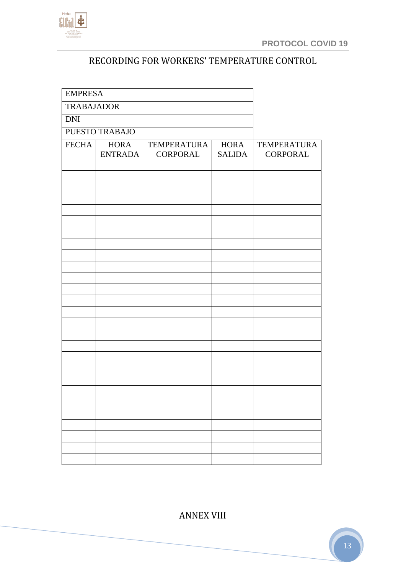

## RECORDING FOR WORKERS' TEMPERATURE CONTROL

| <b>EMPRESA</b>    |                               |                                |                              |                                |
|-------------------|-------------------------------|--------------------------------|------------------------------|--------------------------------|
| <b>TRABAJADOR</b> |                               |                                |                              |                                |
| $\overline{DN}$   |                               |                                |                              |                                |
| PUESTO TRABAJO    |                               |                                |                              |                                |
| <b>FECHA</b>      | <b>HORA</b><br><b>ENTRADA</b> | <b>TEMPERATURA</b><br>CORPORAL | <b>HORA</b><br><b>SALIDA</b> | <b>TEMPERATURA</b><br>CORPORAL |
|                   |                               |                                |                              |                                |
|                   |                               |                                |                              |                                |
|                   |                               |                                |                              |                                |
|                   |                               |                                |                              |                                |
|                   |                               |                                |                              |                                |
|                   |                               |                                |                              |                                |
|                   |                               |                                |                              |                                |
|                   |                               |                                |                              |                                |
|                   |                               |                                |                              |                                |
|                   |                               |                                |                              |                                |
|                   |                               |                                |                              |                                |
|                   |                               |                                |                              |                                |
|                   |                               |                                |                              |                                |
|                   |                               |                                |                              |                                |
|                   |                               |                                |                              |                                |
|                   |                               |                                |                              |                                |
|                   |                               |                                |                              |                                |
|                   |                               |                                |                              |                                |
|                   |                               |                                |                              |                                |
|                   |                               |                                |                              |                                |
|                   |                               |                                |                              |                                |
|                   |                               |                                |                              |                                |
|                   |                               |                                |                              |                                |
|                   |                               |                                |                              |                                |
|                   |                               |                                |                              |                                |

ANNEX VIII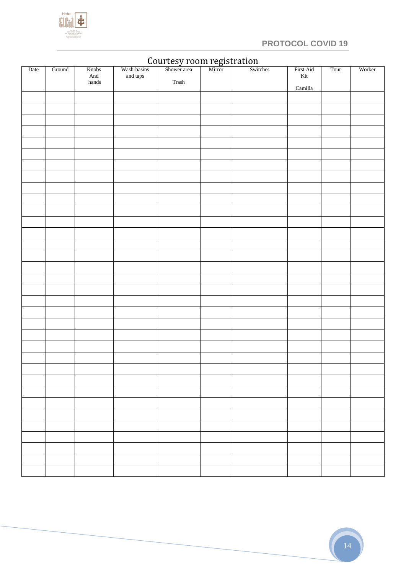

## **PROTOCOL COVID 19**

| Date | Ground | Knobs<br>And<br>${\tt hands}$ | Wash-basins<br>and taps | s Shower area Mirror Switches<br>$\operatorname*{Trash}% \left( \mathcal{M}\right) =\operatorname*{Trash}% \left( \mathcal{M}\right)$ |  | First Aid<br>$\rm{Kit}$ | Tour | Worker |
|------|--------|-------------------------------|-------------------------|---------------------------------------------------------------------------------------------------------------------------------------|--|-------------------------|------|--------|
|      |        |                               |                         |                                                                                                                                       |  | Camilla                 |      |        |
|      |        |                               |                         |                                                                                                                                       |  |                         |      |        |
|      |        |                               |                         |                                                                                                                                       |  |                         |      |        |
|      |        |                               |                         |                                                                                                                                       |  |                         |      |        |
|      |        |                               |                         |                                                                                                                                       |  |                         |      |        |
|      |        |                               |                         |                                                                                                                                       |  |                         |      |        |
|      |        |                               |                         |                                                                                                                                       |  |                         |      |        |
|      |        |                               |                         |                                                                                                                                       |  |                         |      |        |
|      |        |                               |                         |                                                                                                                                       |  |                         |      |        |
|      |        |                               |                         |                                                                                                                                       |  |                         |      |        |
|      |        |                               |                         |                                                                                                                                       |  |                         |      |        |
|      |        |                               |                         |                                                                                                                                       |  |                         |      |        |
|      |        |                               |                         |                                                                                                                                       |  |                         |      |        |
|      |        |                               |                         |                                                                                                                                       |  |                         |      |        |
|      |        |                               |                         |                                                                                                                                       |  |                         |      |        |
|      |        |                               |                         |                                                                                                                                       |  |                         |      |        |
|      |        |                               |                         |                                                                                                                                       |  |                         |      |        |
|      |        |                               |                         |                                                                                                                                       |  |                         |      |        |
|      |        |                               |                         |                                                                                                                                       |  |                         |      |        |
|      |        |                               |                         |                                                                                                                                       |  |                         |      |        |
|      |        |                               |                         |                                                                                                                                       |  |                         |      |        |
|      |        |                               |                         |                                                                                                                                       |  |                         |      |        |
|      |        |                               |                         |                                                                                                                                       |  |                         |      |        |
|      |        |                               |                         |                                                                                                                                       |  |                         |      |        |
|      |        |                               |                         |                                                                                                                                       |  |                         |      |        |
|      |        |                               |                         |                                                                                                                                       |  |                         |      |        |
|      |        |                               |                         |                                                                                                                                       |  |                         |      |        |
|      |        |                               |                         |                                                                                                                                       |  |                         |      |        |
|      |        |                               |                         |                                                                                                                                       |  |                         |      |        |
|      |        |                               |                         |                                                                                                                                       |  |                         |      |        |
|      |        |                               |                         |                                                                                                                                       |  |                         |      |        |
|      |        |                               |                         |                                                                                                                                       |  |                         |      |        |
|      |        |                               |                         |                                                                                                                                       |  |                         |      |        |
|      |        |                               |                         |                                                                                                                                       |  |                         |      |        |
|      |        |                               |                         |                                                                                                                                       |  |                         |      |        |
|      |        |                               |                         |                                                                                                                                       |  |                         |      |        |

## Courtesy room registration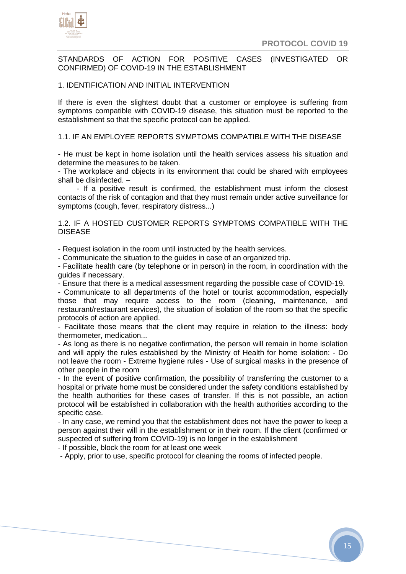

## STANDARDS OF ACTION FOR POSITIVE CASES (INVESTIGATED OR CONFIRMED) OF COVID-19 IN THE ESTABLISHMENT

#### 1. IDENTIFICATION AND INITIAL INTERVENTION

If there is even the slightest doubt that a customer or employee is suffering from symptoms compatible with COVID-19 disease, this situation must be reported to the establishment so that the specific protocol can be applied.

#### 1.1. IF AN EMPLOYEE REPORTS SYMPTOMS COMPATIBLE WITH THE DISEASE

- He must be kept in home isolation until the health services assess his situation and determine the measures to be taken.

- The workplace and objects in its environment that could be shared with employees shall be disinfected. –

 - If a positive result is confirmed, the establishment must inform the closest contacts of the risk of contagion and that they must remain under active surveillance for symptoms (cough, fever, respiratory distress...)

1.2. IF A HOSTED CUSTOMER REPORTS SYMPTOMS COMPATIBLE WITH THE DISEASE

- Request isolation in the room until instructed by the health services.

- Communicate the situation to the guides in case of an organized trip.

- Facilitate health care (by telephone or in person) in the room, in coordination with the guides if necessary.

- Ensure that there is a medical assessment regarding the possible case of COVID-19.

- Communicate to all departments of the hotel or tourist accommodation, especially those that may require access to the room (cleaning, maintenance, and restaurant/restaurant services), the situation of isolation of the room so that the specific protocols of action are applied.

- Facilitate those means that the client may require in relation to the illness: body thermometer, medication...

- As long as there is no negative confirmation, the person will remain in home isolation and will apply the rules established by the Ministry of Health for home isolation: - Do not leave the room - Extreme hygiene rules - Use of surgical masks in the presence of other people in the room

- In the event of positive confirmation, the possibility of transferring the customer to a hospital or private home must be considered under the safety conditions established by the health authorities for these cases of transfer. If this is not possible, an action protocol will be established in collaboration with the health authorities according to the specific case.

- In any case, we remind you that the establishment does not have the power to keep a person against their will in the establishment or in their room. If the client (confirmed or suspected of suffering from COVID-19) is no longer in the establishment

- If possible, block the room for at least one week

- Apply, prior to use, specific protocol for cleaning the rooms of infected people.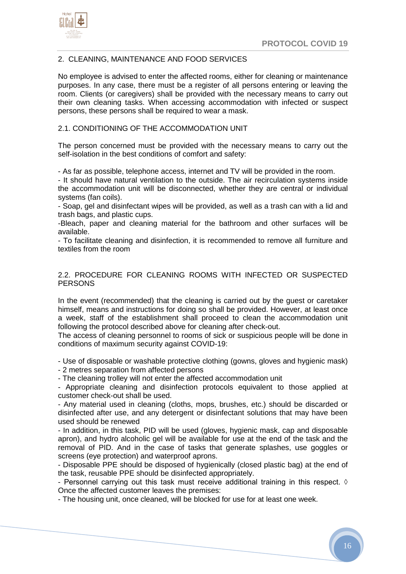



## 2. CLEANING, MAINTENANCE AND FOOD SERVICES

No employee is advised to enter the affected rooms, either for cleaning or maintenance purposes. In any case, there must be a register of all persons entering or leaving the room. Clients (or caregivers) shall be provided with the necessary means to carry out their own cleaning tasks. When accessing accommodation with infected or suspect persons, these persons shall be required to wear a mask.

## 2.1. CONDITIONING OF THE ACCOMMODATION UNIT

The person concerned must be provided with the necessary means to carry out the self-isolation in the best conditions of comfort and safety:

- As far as possible, telephone access, internet and TV will be provided in the room.

- It should have natural ventilation to the outside. The air recirculation systems inside the accommodation unit will be disconnected, whether they are central or individual systems (fan coils).

- Soap, gel and disinfectant wipes will be provided, as well as a trash can with a lid and trash bags, and plastic cups.

-Bleach, paper and cleaning material for the bathroom and other surfaces will be available.

- To facilitate cleaning and disinfection, it is recommended to remove all furniture and textiles from the room

2.2. PROCEDURE FOR CLEANING ROOMS WITH INFECTED OR SUSPECTED **PERSONS** 

In the event (recommended) that the cleaning is carried out by the guest or caretaker himself, means and instructions for doing so shall be provided. However, at least once a week, staff of the establishment shall proceed to clean the accommodation unit following the protocol described above for cleaning after check-out.

The access of cleaning personnel to rooms of sick or suspicious people will be done in conditions of maximum security against COVID-19:

- Use of disposable or washable protective clothing (gowns, gloves and hygienic mask)

- 2 metres separation from affected persons

- The cleaning trolley will not enter the affected accommodation unit

- Appropriate cleaning and disinfection protocols equivalent to those applied at customer check-out shall be used.

- Any material used in cleaning (cloths, mops, brushes, etc.) should be discarded or disinfected after use, and any detergent or disinfectant solutions that may have been used should be renewed

- In addition, in this task, PID will be used (gloves, hygienic mask, cap and disposable apron), and hydro alcoholic gel will be available for use at the end of the task and the removal of PID. And in the case of tasks that generate splashes, use goggles or screens (eye protection) and waterproof aprons.

- Disposable PPE should be disposed of hygienically (closed plastic bag) at the end of the task, reusable PPE should be disinfected appropriately.

- Personnel carrying out this task must receive additional training in this respect.  $\Diamond$ Once the affected customer leaves the premises:

- The housing unit, once cleaned, will be blocked for use for at least one week.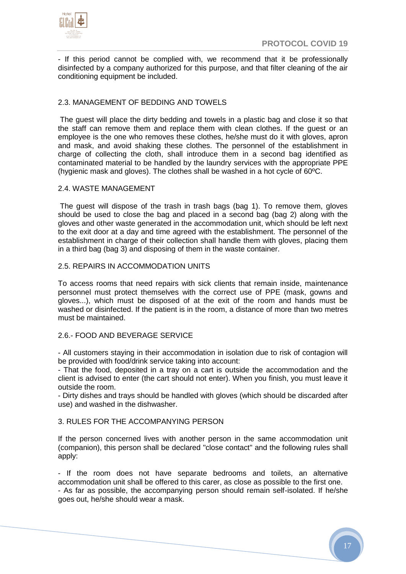

- If this period cannot be complied with, we recommend that it be professionally disinfected by a company authorized for this purpose, and that filter cleaning of the air conditioning equipment be included.

## 2.3. MANAGEMENT OF BEDDING AND TOWELS

The guest will place the dirty bedding and towels in a plastic bag and close it so that the staff can remove them and replace them with clean clothes. If the guest or an employee is the one who removes these clothes, he/she must do it with gloves, apron and mask, and avoid shaking these clothes. The personnel of the establishment in charge of collecting the cloth, shall introduce them in a second bag identified as contaminated material to be handled by the laundry services with the appropriate PPE (hygienic mask and gloves). The clothes shall be washed in a hot cycle of 60ºC.

## 2.4. WASTE MANAGEMENT

The guest will dispose of the trash in trash bags (bag 1). To remove them, gloves should be used to close the bag and placed in a second bag (bag 2) along with the gloves and other waste generated in the accommodation unit, which should be left next to the exit door at a day and time agreed with the establishment. The personnel of the establishment in charge of their collection shall handle them with gloves, placing them in a third bag (bag 3) and disposing of them in the waste container.

## 2.5. REPAIRS IN ACCOMMODATION UNITS

To access rooms that need repairs with sick clients that remain inside, maintenance personnel must protect themselves with the correct use of PPE (mask, gowns and gloves...), which must be disposed of at the exit of the room and hands must be washed or disinfected. If the patient is in the room, a distance of more than two metres must be maintained.

#### 2.6.- FOOD AND BEVERAGE SERVICE

- All customers staying in their accommodation in isolation due to risk of contagion will be provided with food/drink service taking into account:

- That the food, deposited in a tray on a cart is outside the accommodation and the client is advised to enter (the cart should not enter). When you finish, you must leave it outside the room.

- Dirty dishes and trays should be handled with gloves (which should be discarded after use) and washed in the dishwasher.

## 3. RULES FOR THE ACCOMPANYING PERSON

If the person concerned lives with another person in the same accommodation unit (companion), this person shall be declared "close contact" and the following rules shall apply:

- If the room does not have separate bedrooms and toilets, an alternative accommodation unit shall be offered to this carer, as close as possible to the first one. - As far as possible, the accompanying person should remain self-isolated. If he/she goes out, he/she should wear a mask.